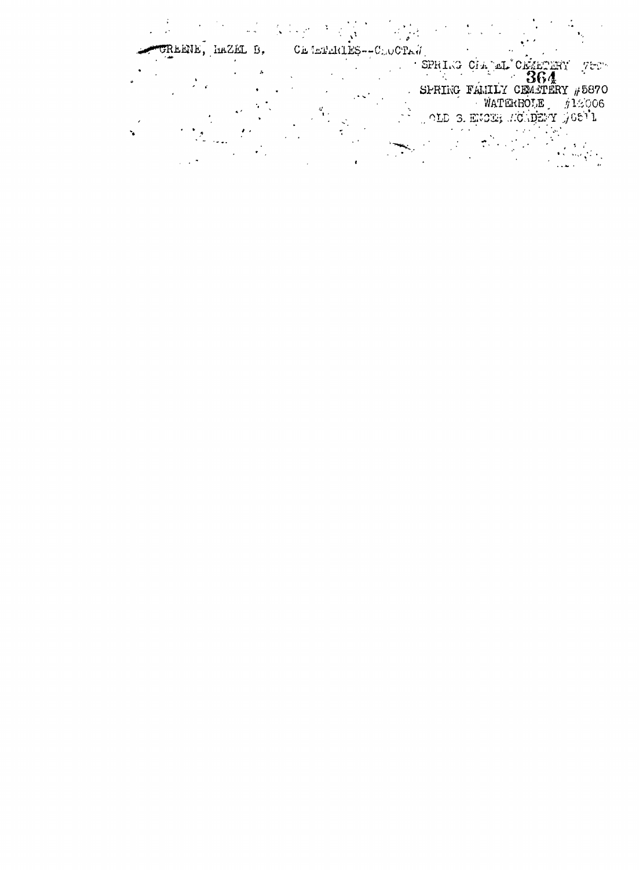$\label{eq:2} \frac{1}{\sqrt{2\pi}}\frac{1}{\sqrt{2\pi}}\frac{1}{\sqrt{2\pi}}\int_{0}^{\sqrt{2\pi}}\frac{1}{\sqrt{2\pi}}\frac{1}{\sqrt{2\pi}}\frac{1}{\sqrt{2\pi}}\frac{1}{\sqrt{2\pi}}\frac{1}{\sqrt{2\pi}}\frac{1}{\sqrt{2\pi}}\frac{1}{\sqrt{2\pi}}\frac{1}{\sqrt{2\pi}}\frac{1}{\sqrt{2\pi}}\frac{1}{\sqrt{2\pi}}\frac{1}{\sqrt{2\pi}}\frac{1}{\sqrt{2\pi}}\frac{1}{\sqrt{2\pi}}\frac{1}{\sqrt{$ **SASK STATE**  $\sim 10$ Ch indulties--CLOCTA $\hat{d}$ CREENE, HAZEL B. SPRIKO CIA aL'ORMETERY 78870<br>SPRIKO FAMILY CEMETERY #5870<br>WATERBOLE #12006<br>OLD 3. ENCER MONDERY 76871  $\overline{\phantom{a}}$  $\sim$   $\sim$   $\sim$ Albanyi a  $\sim 10^{11}$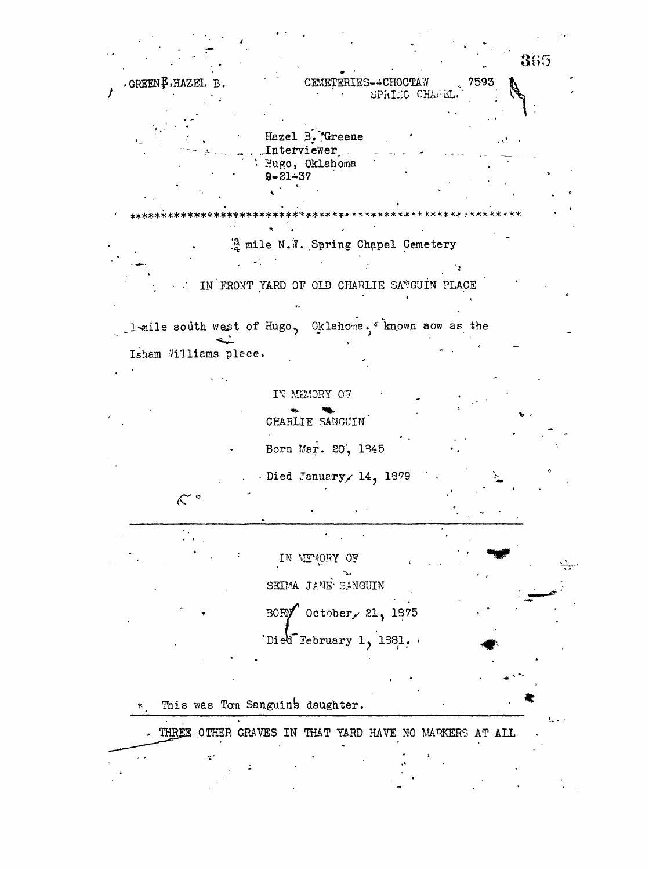365  $\sim 7593$ GREEN F.HAZEL B. CEMETERIES--CHOCTAW SPRIEC CHAPEL. Hazel B. Greene . . . Interviewer Hugo, Oklahoma  $9 - 21 - 37$ A mile N.W. Spring Chapel Cemetery ۰. IN FRONT YARD OF OLD CHARLIE SANGUIN PLACE leile south west of Hugo, Oklahona, known now as the Isham Williams place. IN MEMORY OF CHARLIE SANGUIN Born Mar. 20, 1345 Died January 14, 1879  $\mathcal{K}^{\circ}$ IN MEMORY OF SEIMA JANE SANGUIN BORY October, 21, 1875 Died February 1, 1981. This was Tom Sanguin's daughter. THREE OTHER GRAVES IN THAT YARD HAVE NO MARKERS AT ALL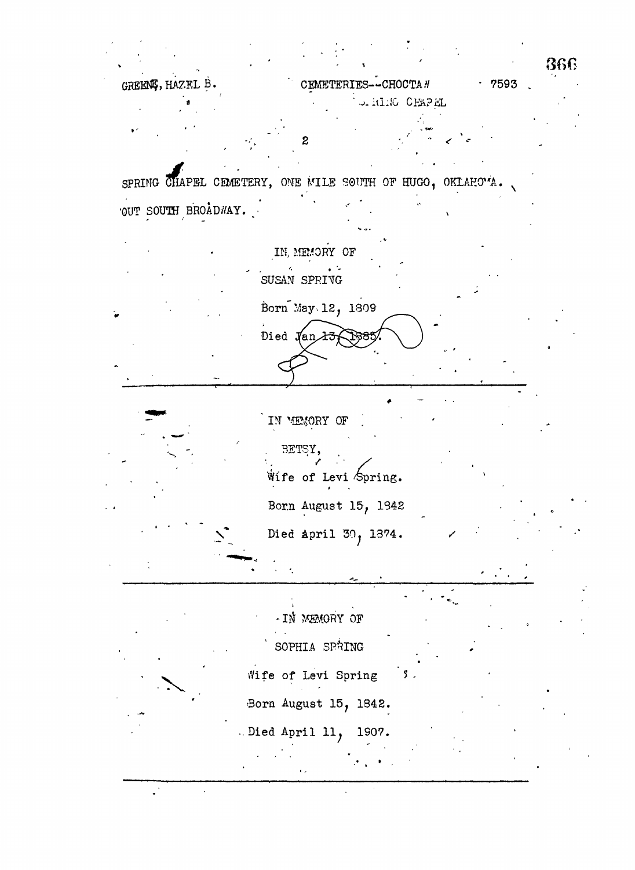|                     |                                                           | 866   |
|---------------------|-----------------------------------------------------------|-------|
| GREENS, HAZEL B.    | CEMETERIES--CHOCTA #                                      | .7593 |
|                     | OFFITING CHAPEL                                           |       |
|                     | 2                                                         |       |
|                     | SPRING CHAPEL CEMETERY, ONE MILE SOUTH OF HUGO, OKLAHOMA. |       |
| OUT SOUTH BROADWAY. |                                                           |       |
|                     | IN, MEMORY OF                                             |       |
|                     | SUSAN SPRIVG                                              |       |
|                     | Born May 12, 1809                                         |       |
|                     | Died Jan 13                                               |       |
|                     |                                                           |       |
|                     | IN MEMORY OF<br>BETSY,<br>Wille of Levi Spring.           |       |
|                     | Born August 15, 1342                                      |       |
|                     | Died April 30, 1374.                                      |       |
|                     |                                                           |       |
|                     | - IN MEMORY OF                                            |       |
|                     | SOPHIA SPRING                                             |       |
|                     | Wife of Levi Spring                                       |       |
|                     | Born August 15, 1842.                                     |       |
|                     | .Died April 11, 1907.                                     |       |
|                     |                                                           |       |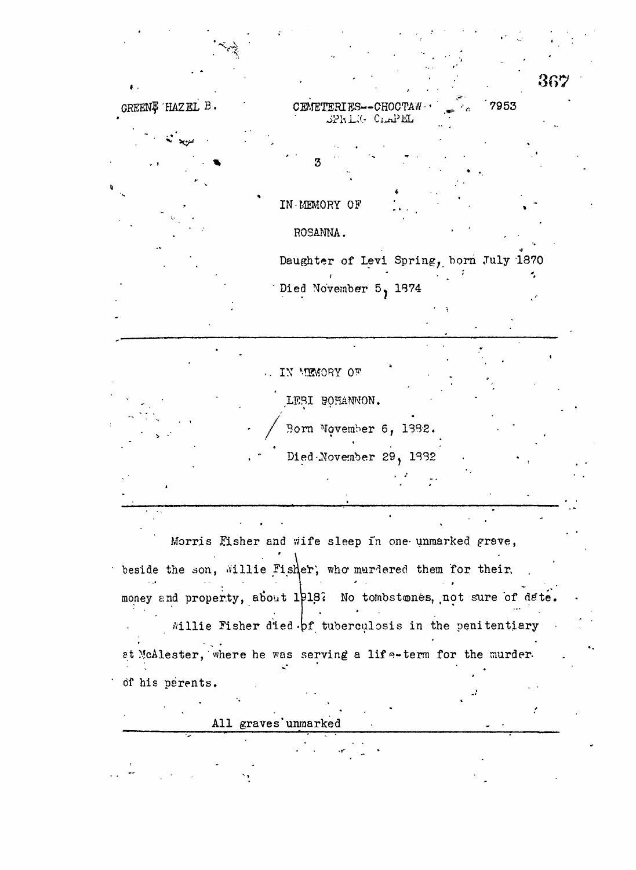|                 |                                                                  |      | 367 |
|-----------------|------------------------------------------------------------------|------|-----|
| GREENĘ HAZEL B. | CEMETERIES--CHOCTAW-<br>SPRING CLAPEL                            | 7953 |     |
|                 |                                                                  |      |     |
|                 | З                                                                |      |     |
|                 |                                                                  |      |     |
|                 | IN MEMORY OF                                                     |      |     |
|                 | ROSANNA.                                                         |      |     |
|                 | Daughter of Levi Spring, born July 1870                          |      |     |
|                 | Died November 5, 1874                                            |      |     |
|                 |                                                                  |      |     |
|                 |                                                                  |      |     |
|                 |                                                                  |      |     |
|                 | IN MEMORY OF                                                     |      |     |
|                 | LEBI BOHANNON.                                                   |      |     |
|                 | Born November 6, 1382.                                           |      |     |
|                 | Died November 29, 1932                                           |      |     |
|                 |                                                                  |      |     |
|                 |                                                                  |      |     |
|                 |                                                                  |      |     |
|                 | Morris Fisher and wife sleep in one unmarked grave,              |      |     |
|                 |                                                                  |      |     |
|                 | beside the son, Willie Fisher, who murdered them for their.      |      |     |
|                 | money and property, about 1918? No tombstones, not sure of date. |      |     |
|                 | Willie Fisher died . pf tuberculosis in the penitentiary         |      |     |
|                 | et McAlester, where he was serving a life-term for the murder.   |      |     |
| of his perents. |                                                                  |      |     |
|                 |                                                                  |      |     |
|                 | All graves unmarked                                              |      |     |
|                 |                                                                  |      |     |
|                 |                                                                  |      |     |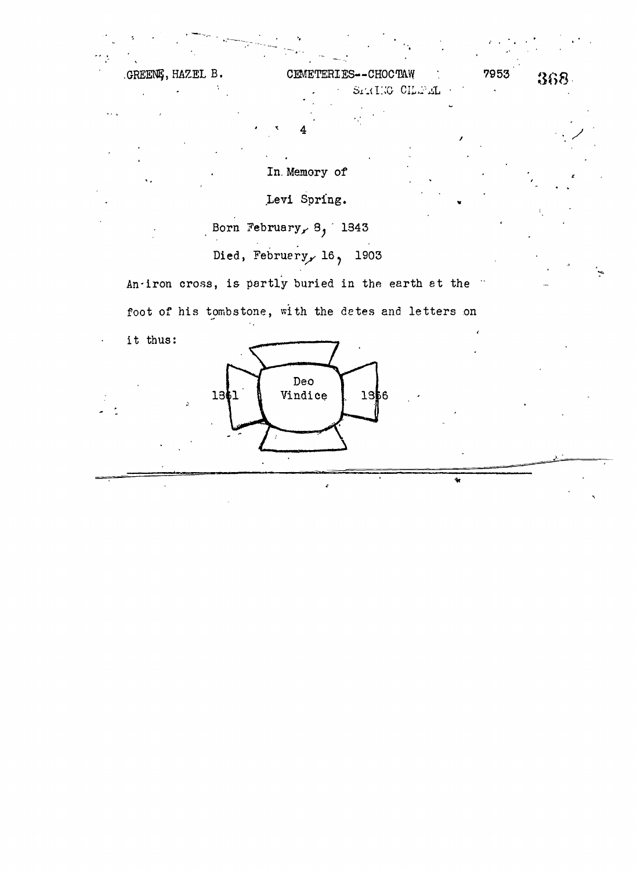|          | GREENG, HAZEL B. | CEMETERIES--CHOCTAW |               | 7953 | 368. |
|----------|------------------|---------------------|---------------|------|------|
|          |                  |                     | STRIKG CHEFEL |      |      |
| $\cdots$ |                  |                     |               |      |      |
|          |                  |                     |               |      |      |

In. Memory of

Levi Spring.

Born February,  $8, 1343$ 

Died, February, 16, 1903

An-iron cross, is partly buried in the earth at the

foot of his tombstone, with the detes and letters on

it thus:

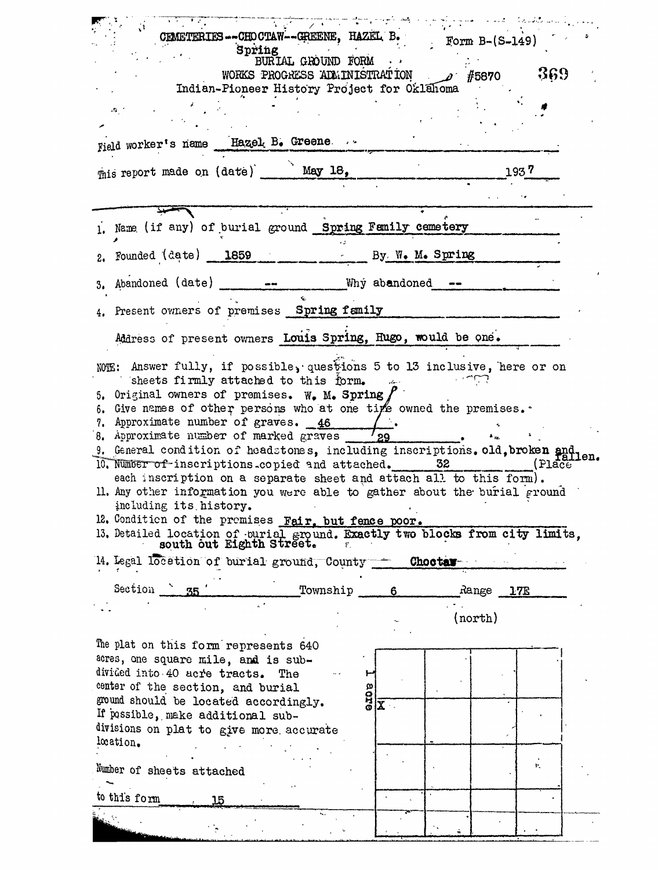| CEMETERIES--CHOCTAW--GREENE, HAZEL B.<br>Spring<br>BURIAL GROUND FORM<br>WORKS PROGRESS ADMINISTRATION<br>Indian-Pioneer History Project for Oklahoma<br>$\cdot$<br>Field worker's name Hazel B. Greene                                                                                                                                                                                                                                                                                                                                                                                                                                                                                                                                                                                                         |                         | $Eorm B-(S-149)$<br>$\overline{\mathscr{Q}}$ #5870 | 369   |
|-----------------------------------------------------------------------------------------------------------------------------------------------------------------------------------------------------------------------------------------------------------------------------------------------------------------------------------------------------------------------------------------------------------------------------------------------------------------------------------------------------------------------------------------------------------------------------------------------------------------------------------------------------------------------------------------------------------------------------------------------------------------------------------------------------------------|-------------------------|----------------------------------------------------|-------|
| mis report made on (date) May 18,                                                                                                                                                                                                                                                                                                                                                                                                                                                                                                                                                                                                                                                                                                                                                                               |                         | 193.7                                              |       |
|                                                                                                                                                                                                                                                                                                                                                                                                                                                                                                                                                                                                                                                                                                                                                                                                                 |                         |                                                    |       |
| 1. Name (if any) of burial ground Spring Femily cemetery<br>2. Founded (date) 1859 By W. M. Spring<br>3. Abandoned (date) ______________ Why abandoned ___                                                                                                                                                                                                                                                                                                                                                                                                                                                                                                                                                                                                                                                      |                         |                                                    |       |
| 4. Present owners of premises Spring family                                                                                                                                                                                                                                                                                                                                                                                                                                                                                                                                                                                                                                                                                                                                                                     |                         |                                                    |       |
| Address of present owners Louis Spring, Hugo, would be one.                                                                                                                                                                                                                                                                                                                                                                                                                                                                                                                                                                                                                                                                                                                                                     |                         |                                                    |       |
| NOTE: Answer fully, if possible, questions 5 to 13 inclusive, here or on<br>sheets firmly attached to this form.<br>5. Original owners of premises. W. M. Spring,<br>6. Give names of other persons who at one tipe owned the premises.<br>7. Approximate number of graves. 46<br>8. Approximate number of marked graves<br>9. General condition of headstones, including inscriptions. old, broken and tallen.<br>10. Number of inscriptions.copied and attached.<br>each inscription on a separate sheet and attach all to this form).<br>Il. Any other information you were able to gather about the burial ground<br>including its history.<br>12. Condition of the premises Fair, but fence poor.<br>13. Detailed location of burial ground. Exactly two blocks from city limits, south out Eighth Street. | ່ 29<br>32              |                                                    | Place |
| 14. Legal location of burial ground, County - Choctar-                                                                                                                                                                                                                                                                                                                                                                                                                                                                                                                                                                                                                                                                                                                                                          |                         |                                                    |       |
| Section 35<br>Township                                                                                                                                                                                                                                                                                                                                                                                                                                                                                                                                                                                                                                                                                                                                                                                          | 6                       | Range 17E<br>(north)                               |       |
| The plat on this form represents 640<br>acres, one square mile, and is sub-<br>divided into 40 acre tracts. The<br>center of the section, and burial<br>sore<br>ground should be located accordingly.<br>If passible, make additional sub-<br>divisions on plat to give more accurate                                                                                                                                                                                                                                                                                                                                                                                                                                                                                                                           | $\overline{\mathbf{X}}$ |                                                    |       |
| location.<br>Number of sheets attached                                                                                                                                                                                                                                                                                                                                                                                                                                                                                                                                                                                                                                                                                                                                                                          |                         |                                                    | ЭY.   |
| to this form<br>15                                                                                                                                                                                                                                                                                                                                                                                                                                                                                                                                                                                                                                                                                                                                                                                              |                         |                                                    |       |
|                                                                                                                                                                                                                                                                                                                                                                                                                                                                                                                                                                                                                                                                                                                                                                                                                 |                         |                                                    |       |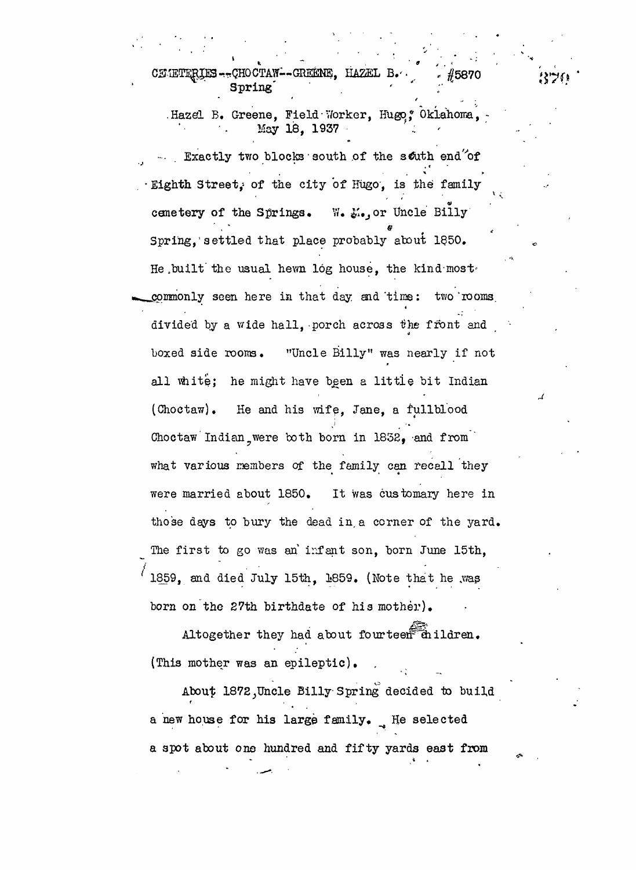CEMETERIES-TCHOCTAW--GREENE, HAZEL B. #5870 Spring

.Hazel B. Greene, Field Worker, Hugo, Oklahoma, May 18, 1937 ' *:*

Exactly two blocks south of the south end<sup>"</sup>of · Eighth Street, of the city of Hugo, is the family **ai** cemetery of the Springs. cemetery of the Springs. Yard Springs. Yard Springs. Yard Springs. Yard Springs. Yard Springs. Yard Springs. Y Spring, settled that place probably about 1850. Spring,"settled that place probably about l\$50.000 percent place probably about l\$50.000 percent place probably about l\$50.000 percent He built the usual hewn log house, the kind most He .built'the usual hevm log house, the kind-most\* commonly seen here in that day and time: two rooms  $\mathcal{L}^{(j)}$  seen here in that day aid that day aid that day aid that day aid that day aid that day aid that day aid that day aid the seen here in the seen here in the seen here in the seen here in the seen here in the see divided by a wide hall, porch across the front and boxed side rooms. "Uncle Billy" was nearly if not all white; he might have been a little bit Indian  $( \text{Choctaw})$ . He and his wife, Jane, a fullblood Choctaw Indian were both born in  $1852$ , and from what various members of the family can recall they what various members of the family can recall the family can recall the family can recall they have been those days to bury the dead in a corner of the yard. The first to go was an'infant son, born June 15th. 1859. and died July 15th, 1859. (Note that he was ' 1859, and died July 15th, 1859, and died July 15th, 1859. (Note that the .was in the .was in the .was in the<br>The second control to the .was in the .was in the .was in the .was in the .was in the .was in the .was in the

Altogether they had about fourteen children.  $A$ ltogether they had about fourteen- $\mathcal{A}$ 

(This mother was an epileptic).  $\mathcal{A}$  about 1872 $\mathcal{A}$  Uncle Billy Spring decided to build decided to build decided to build decided to build decided to build decided to build decided to build decided to build decided to build decided to build deci and however, his large family. He selected for his large family. He selected family. He selected family. He selected for  $\mathcal{A}$ a spot about on $\mathcal{O}_\mathcal{A}$  spot about on $\mathcal{O}_\mathcal{A}$  yards east from  $\mathcal{A}$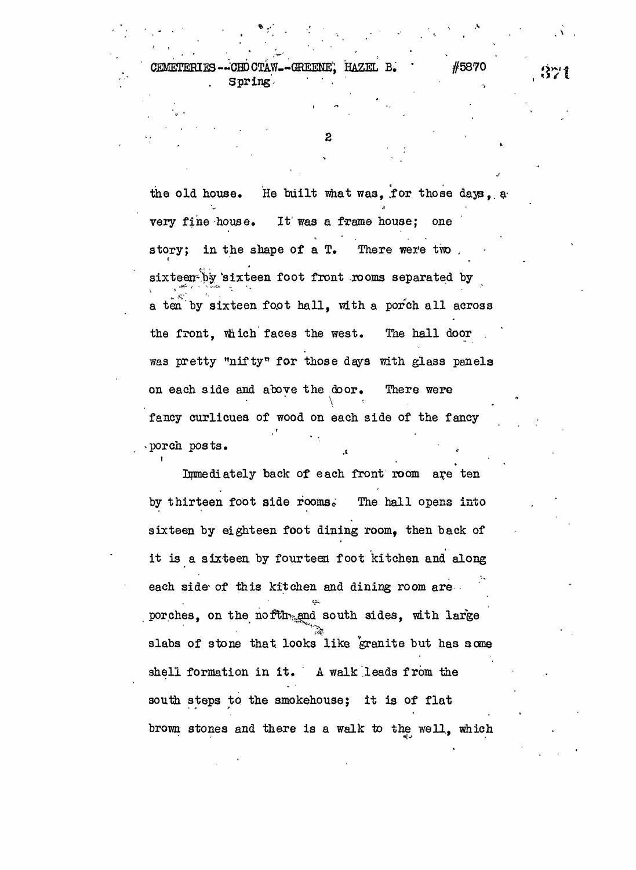-GREENE' HAZEL B. \* #5870 **CEMETERTES CHO CTAW** Spring.

2

the old house. He built what was, for those days, a very fine house. It was a frame house; one story; in the shape of a  $T<sub>•</sub>$  There were two sixteen by sixteen foot front rooms separated by 1 1 a ten by sixteen foot hall, with a porch all across and the tens by sixteen factor  $\mathcal{L}_\text{c}$  and  $\mathcal{L}_\text{c}$  across that all across that all across the polynomial across that all across the polynomial across the set of  $\mathcal{L}_\text{c}$ the front. which faces the west. The hall door the front, viiich faces the west. The hall door  $\mathcal{O}(\mathcal{C})$  is the west. The hall door . was pretty "nifty" for those days with glass panels on each side and above the door. There were on each side and above the door. There were fancy curlicues of wood on each side of the fancy fancy curlicular fancy curlicular of the fancy curlicular fancy of the fancy curlicular fancy of the fancy of the fancy curlicular fancy of the fancy of the fancy of the fancy of the fancy of the fancy of the fancy of the porch posts.  $\mathcal{L}$  (b) the set of  $\mathcal{L}$   $\mathcal{L}$   $\mathcal{L}$   $\mathcal{L}$   $\mathcal{L}$   $\mathcal{L}$   $\mathcal{L}$   $\mathcal{L}$   $\mathcal{L}$   $\mathcal{L}$   $\mathcal{L}$   $\mathcal{L}$   $\mathcal{L}$   $\mathcal{L}$   $\mathcal{L}$   $\mathcal{L}$   $\mathcal{L}$   $\mathcal{L}$   $\mathcal{L}$   $\mathcal{L}$   $\mathcal{L}$   $\mathcal{L}$ 

Immediately back of each front room are ten Immediately back of each front room and the each front room as  $\mathcal{E}^{\mathcal{E}}$ by thirteen foot side rooms. The hall opens into by thirteen foot side foomso The hall opens into sixteen by eighteen foot dining room. then back of sixteen by eighteen foot dining room, then back of it is a sixteen by fourteen foot kitchen foot kitchen and along the sixteen foot kitchen and along the sixteen<br>The sixteen foot kitchen and along the sixteen foot kitchen and along the sixteen foot kitchen and along the s each side- of this kitchen and dining room are porches, on the nofth<sub>one</sub>nd south sides, with large slabs of stone that looks like granite but has acme shell formation in it . A walk .leads from the source the steps to the smoke house; it is of flatter  $\mathbf{r}$ brown stones and there is a walk to the well, which  $371$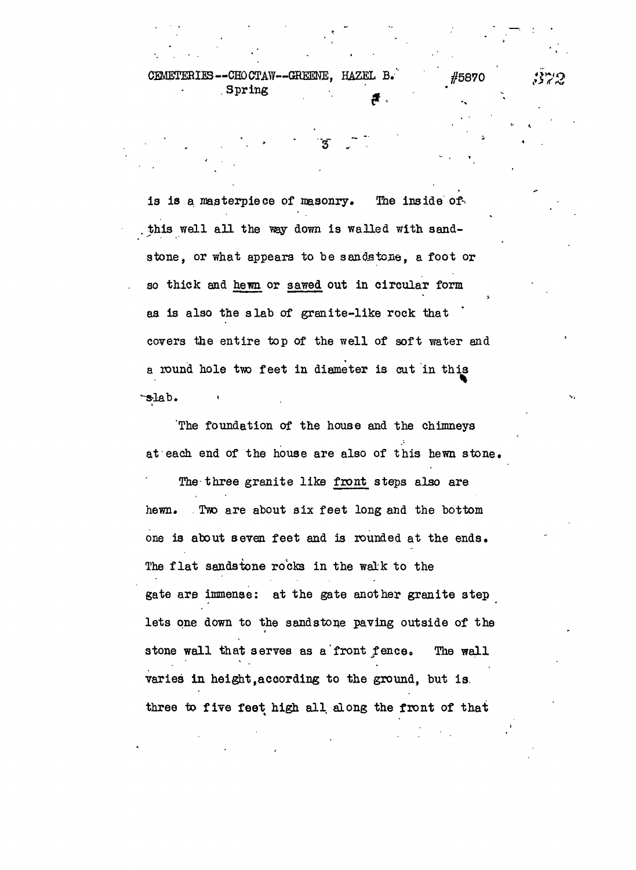CEMETERIES--CHOCTAW--GREENE, HAZEL B. #5870 , Spring

is is a masterpiece of masonry. The inside of. this well all the ray down is walled with sandstone, or what appears to be sandstone, a foot or so thick and hewn or sawed out in circular form as is also the slab of granite-like rock that covers the entire top of the well of soft water and a round hole tvo feet in diameter is cut in this slab.

The foundation of the house and the chimneys at each end of the house are also of this hewn stone . The three granite like front steps also are hewn. Two are about six feet long and the bottom one is about seven feet and is rounded at the ends. The flat sandstone rocks in the walk to the gate are immense: at the gate another granite step lets one down to the sandstone paving outside of the stone wall that serves as a front fence. The wall varies in height,according to the ground, but is. three to five feet high all along the front of that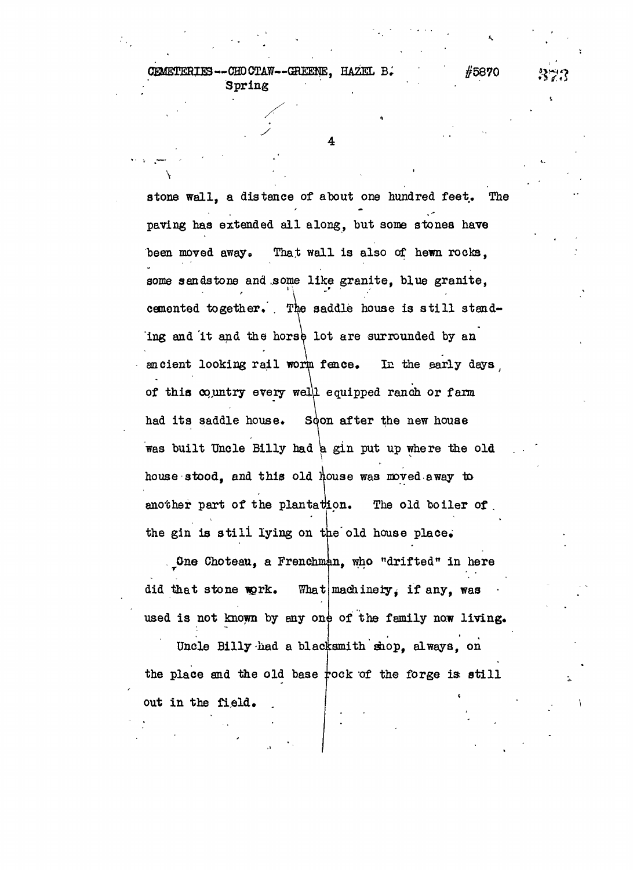GEMETEBIE3--CHD CTAW—GREESNE, HAZEL Spring

**y**

#5870

4

stone wall, a distance of about one hundred feet. The paving has extended all along, but some stones have been moved away. That wall is also of hewn rocks, some sandstone and .some like granite, blue granite, *f \* cemented together. . The saddle house is still standing and it and the horse lot are surrounded by an ancient looking rail worm fence. In the early days of this oq,untry every wel\l equipped ranch or farm had its saddle house. Soon after the new house was built Uncle Billy had a gin put up where the old house stood, and this old house was moved away to another part of the plantation. The old boiler of . the gin is still lying on the old house place.

One Choteau, a Frenchman, who "drifted" in here did that stone work. used is not known by any one of the family now living. What machinery, if any, was

Uncle Billy had a blacksmith shop, always, on the place and the old base  $\frac{1}{2}$  fock of the forge is still out in the field.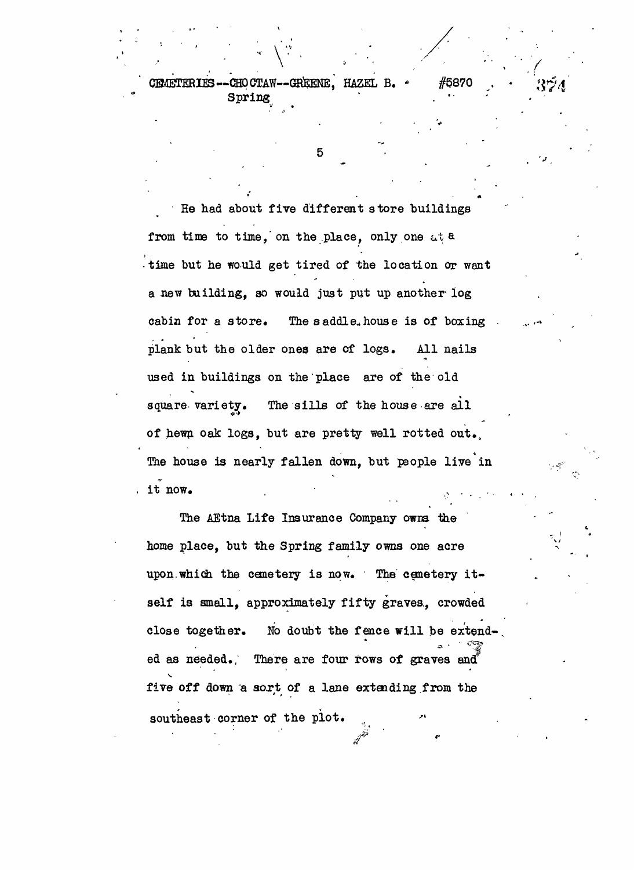$\sqrt{2}$ CEMETERIES-- CHO CTAW--GREENE, HAZEL B. \* #§870 Spring

5

He had about five different store buildings from time to time, on the place, only one at a time but he would get tired of the location or want a new building, so would just put up another log cabin for a store. The saddle, house is of boxing plank but the older ones are of logs. All nails used in buildings on the place are of the old **\*** square variety. The sills of the house are all *<?•>* of hewn oak logs, but are pretty well rotted out,. The house is nearly fallen down, but people live in it now.  $\mathbf{r} = \mathbf{r} \cdot \mathbf{r}$  , and  $\mathbf{r} = \mathbf{r} \cdot \mathbf{r}$  , and  $\mathbf{r} = \mathbf{r} \cdot \mathbf{r}$ 

The AEtna Life Insurance Company owna the home place, but the Spring family owna one acre upon.which the cemetery is now. The cemetery itself is small, approximately fifty graves. crowded close together. No doubt the fence will be extended as needed. There are four rows of graves and five off down "a sort of a lane extending from the southeast corner of the plot.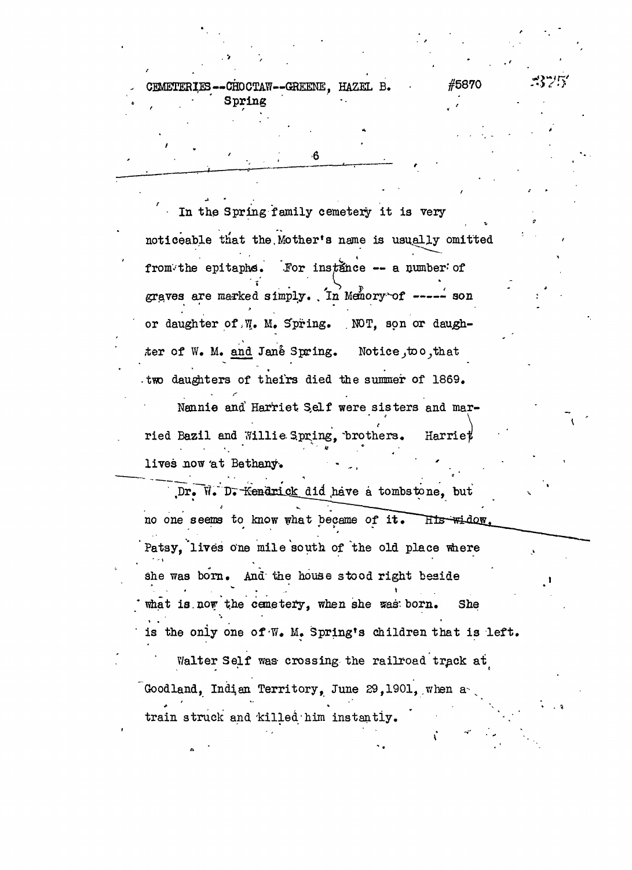-CHDCTAW--GREENE, *HAZEL* B. **CHMETERIES** Spring

6

#5870

 $\sim$  In the Spring family cemetery it is very noticeable that the Mother's name is usually omitted from the epitaphs. For instance -- a number of graves are marked simply. In Memory of  $---$  son or daughter of *f%,* M. S°pring. NOT, son or daughter of W. M. and Jane Spring. Notice, too, that two daughters of theirs died the summer of 1869.

Nannie and Harriet Self were sisters and married Bazil and Willie Spring, brothers. Harriet **- "' - 0 . '** lives now at Bethany.

 $\mathcal{C} = \mathcal{C} \left( \mathcal{C} \right) \left( \mathcal{C} \right) \left( \mathcal{C} \right) \left( \mathcal{C} \right) \left( \mathcal{C} \right) \left( \mathcal{C} \right) \left( \mathcal{C} \right) \left( \mathcal{C} \right) \left( \mathcal{C} \right) \left( \mathcal{C} \right) \left( \mathcal{C} \right) \left( \mathcal{C} \right) \left( \mathcal{C} \right) \left( \mathcal{C} \right) \left( \mathcal{C} \right) \left( \mathcal{C} \right) \left( \mathcal{C} \right) \left($ Dr. W. D. Kendrick did have a tombstone, but . . '<sup>v</sup> ~^ "——-—. Hts widow. no one seems to know what became of it . Patsy, 'lives one mile south of 'the old place where " - i she was born. And' the house stood right beside what is now the cemetery, when she was born. She is the only one of W. M. Spring's children that is left.  $\epsilon$  the only one of  $\epsilon$  and  $\epsilon$  and  $\epsilon$  is the one of  $\epsilon$  is left. Goodland, Indian Territory, June 29,1901, when a train struck and killed him instantly.

train struck and the struck and the struck and the struck and the struck and the struck and the struck and the struck and the struck and the struck and the struck and the struck and the struck and the struck and the struc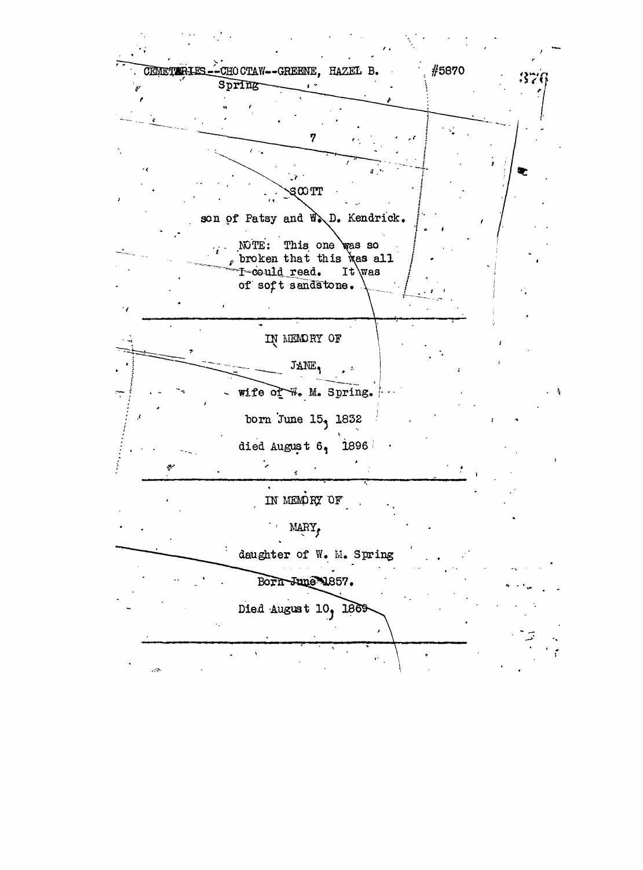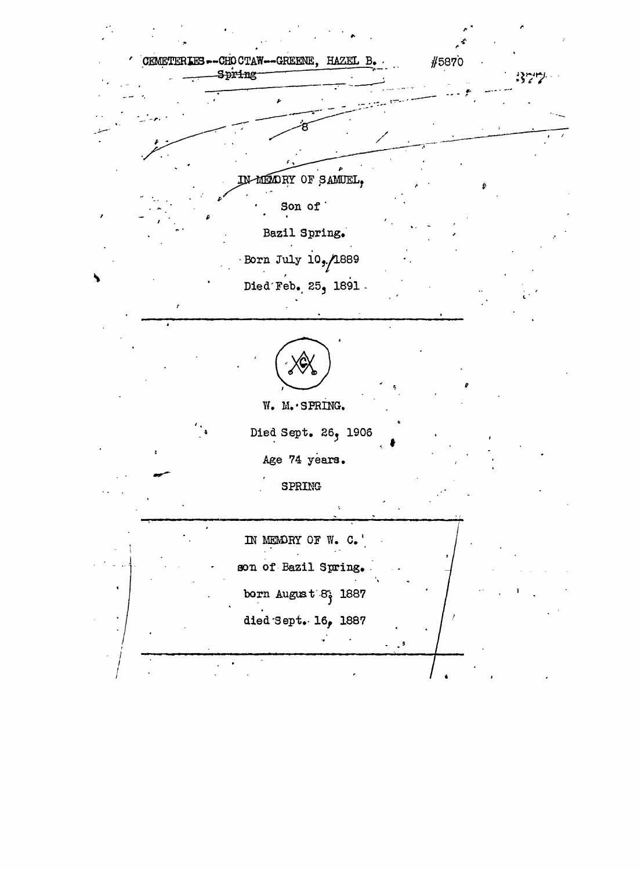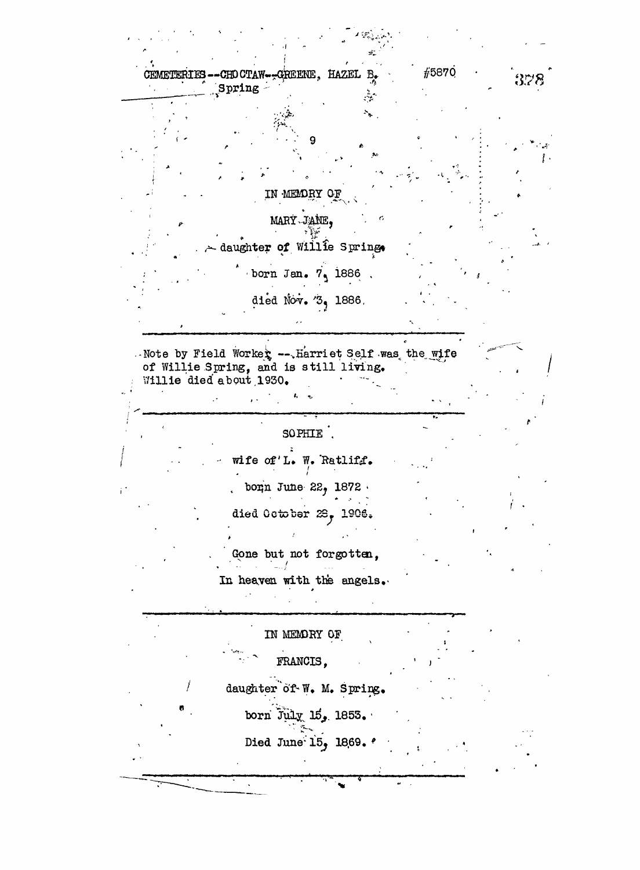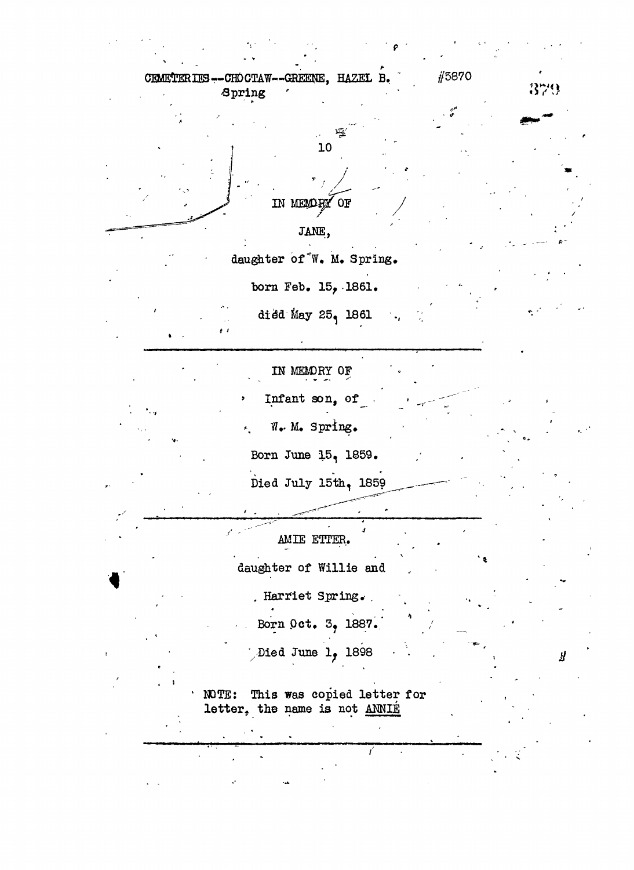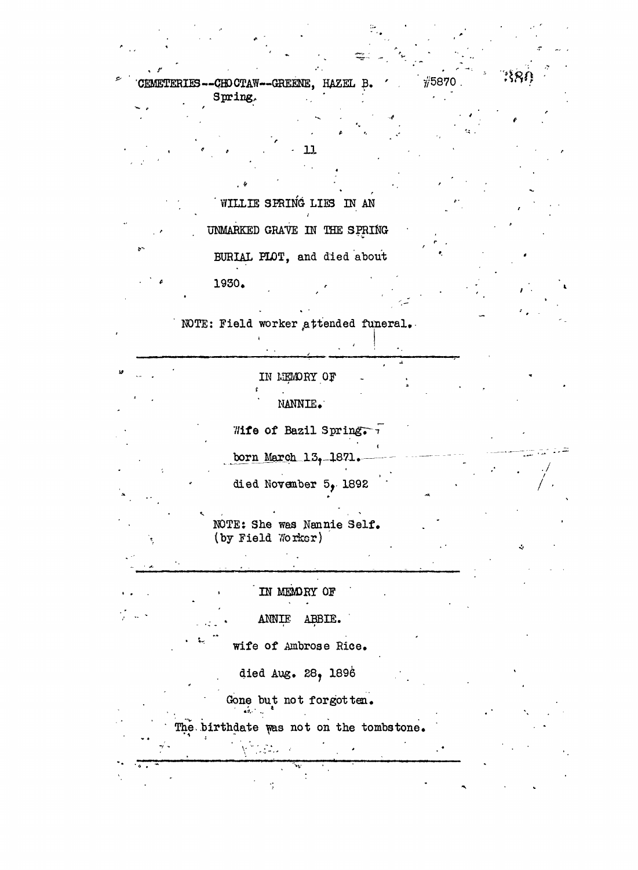$\frac{1}{11}5870$ CEMETERIES--CHOCTAW--GREENE, HAZEL B. Spring.

 $\mathbf{\mathbf{u}}$ 

WILLIE SPRING LIES IN AN

UNMARKED GRAVE IN THE SPRING BURIAL PLOT, and died about 1930.

 $\mathbf{A}$ 

NOTE: Field worker attended funeral.

IN MEMORY OF NANNIE.

Wife of Bazil Spring. born March 13, 1871. died November 5, 1892

NOTE: She was Nannie Self. (by Field Worker)

IN MEMORY OF

ANNIE ABBIE.

wife of Ambrose Rice.

died Aug. 28, 1896

Gone but not forgotten.

The birthdate was not on the tombstone.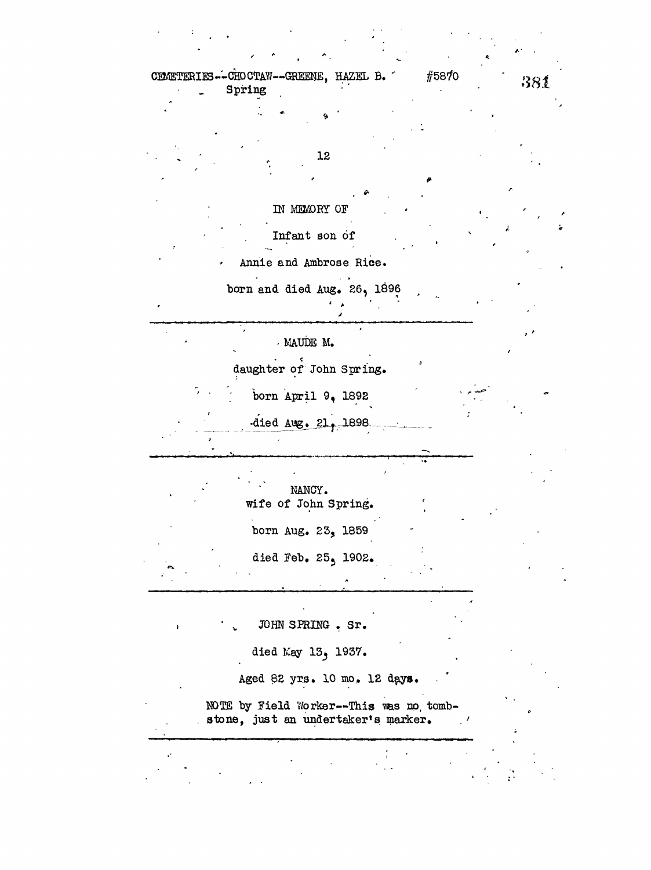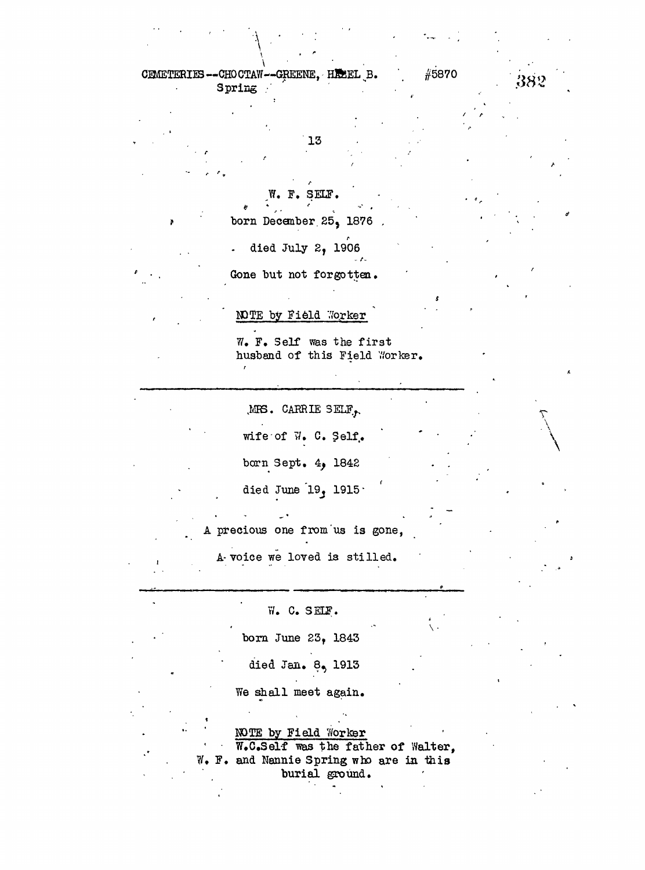CEMETERIES--CHOCTAW--GREENE, HEEEL B. #5870 382 **3**

*r*

13

W. F. SELF.

born December 25, 1876

. died July 2, 1906

Gone but not forgotten.

 $\mathbf{r}$ 

*\*

*r*

**NOTE** by Field Worker

W. F. Self was the first husband of this Field Worker.

 $MRS.$  CARRIE SELF $\sim$ 

wife of  $\vec{v}$ . C. Self. born Sept.  $4$ , 1842

died June  $19$ ,  $1915$ 

A precious one from us is gone,

A-voice we loved is stilled.

W. C. SELF. born June 23, 1843 died Jan. 8, 1913 We shall meet again. MOTE by Field 7/orker W.C.Self was the father of Walter, W. F. and Nannie Spring who are in this

burial ground.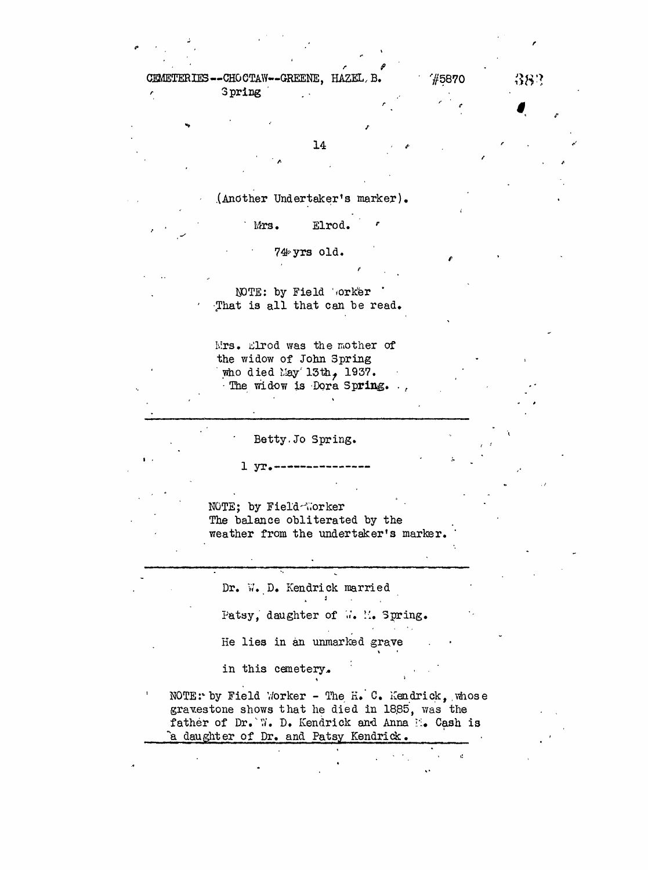**r f** CEMETERIES—CHOCTAW—GREENE, HAZEL, B.  $\gamma$  75870  $38$ ? *f* Spring ' .

14 . *\**

.(Another Undertaker's marker).

Mrs. Elrod. ration and the contract of the contract of the contract of the contract of the contract of the contract of the<br>Second Second Second Second Second Second Second Second Second Second Second Second Second Second Second Second

7#-yrs old.

MOTE: by Field 'orker That is all that can be read.

Mrs. Elrod was the mother of the widow of John Spring who died May  $13th, 1937.$ The widow is Dora Spring. ..

Betty.Jo Spring.

 $1 \text{ yr}$ .

NOTE; by Field-Worker The balance obliterated by the weather from the undertaker's marker.

Dr. W. D. Kendrick married  $\mathcal{L}^{\text{max}}$  and  $\mathcal{L}^{\text{max}}$ 

Patsy, daughter of ... M. Spring.  $\sim 100$  km s  $^{-1}$ 

He lies in an unmarked grave

in this cemetery.

NOTE: by Field Worker - The H.  $C$ . Kendrick, whose gravestone shows that he died in 18,85, was the father of Dr.'W. D. Kendrick and Anna  $\mathbb{N}_\bullet$  Cash is *"a.* daughter of Dr. and Patsy Kendrick.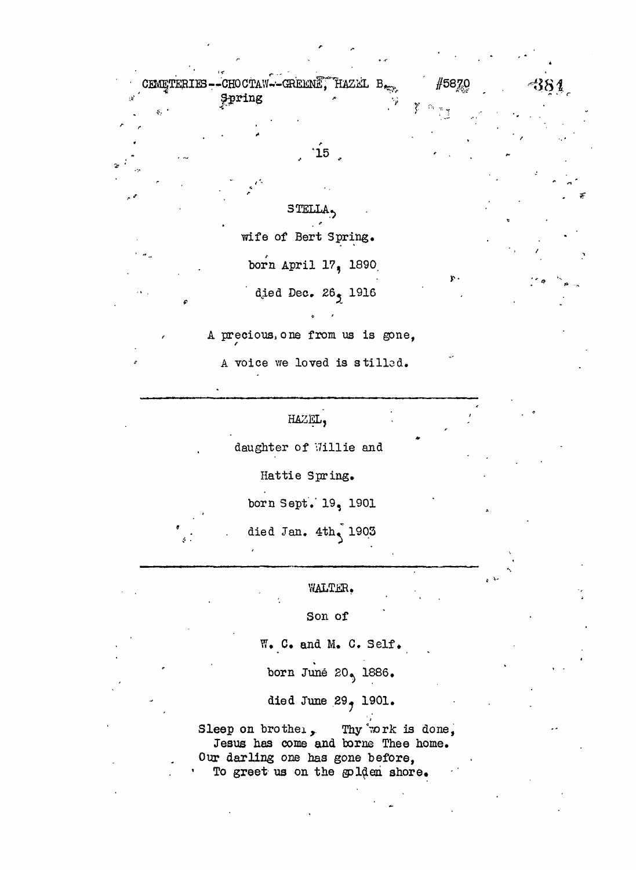

A voice we loved is stilled.

## HAZEL,

daughter of Willie and

Hattie Spring.

born Sept." 19, 1901

died Jan.  $4th<sub>1</sub> 1903$ 

WALTER.

Son of

W. C. and M. C. Self.

born June 20, 1886.

died June 29, 1901.

Sleep on brother, Thy work is done, Jesus has come and borne Thee home. Our darling one has gone before, To greet us on the gplden shore.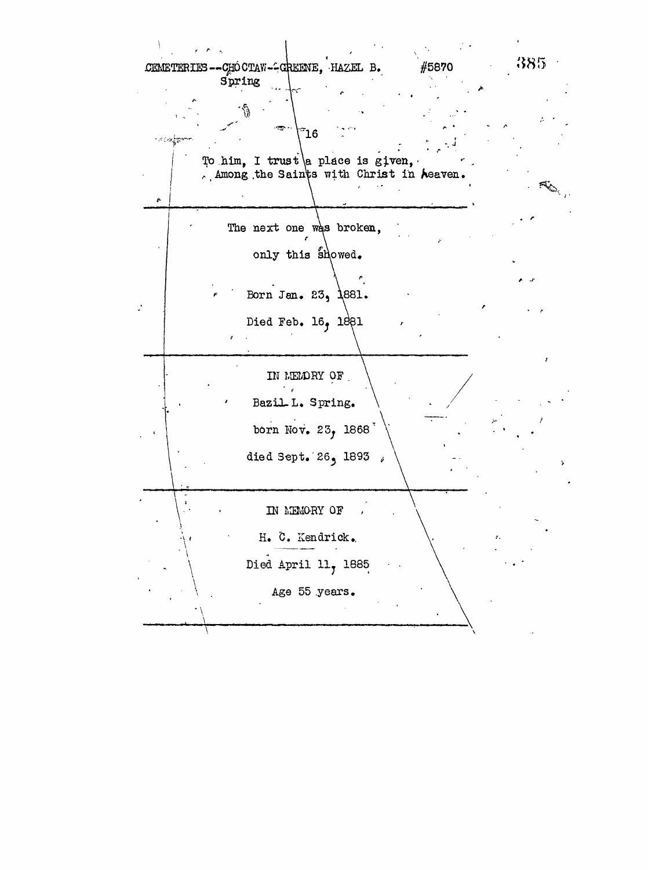385 CEMETERIES -- CHÓ CTAW--CREENE, HAZEL B. #5870 Spring ີ 16 To him, I trust a place is given, Among the Saints with Christ in Aeaven. **Kallantina Comments** The next one was broken, only this showed. Born Jan. 23, 1881. Died Feb.  $16<sub>9</sub>$   $1881$ IN MEMORY OF Bazil L. Spring. born Nov. 23, 1868 died Sept. 26, 1893 ; IN MEMORY OF H. C. Kendrick. Died April 11, 1885 Age 55 years.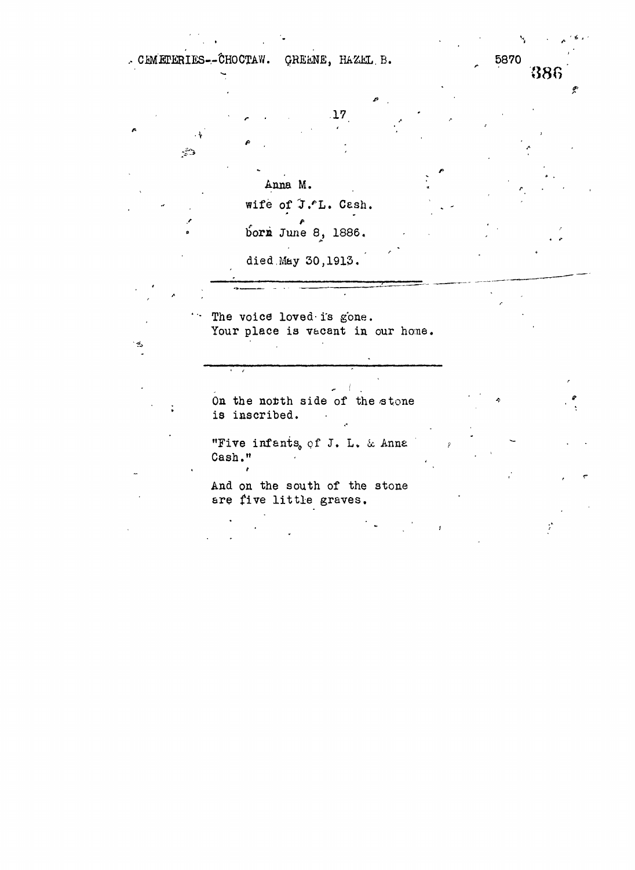CEMETERIES--CHOCTAW. QREENE, HAZEL B. 5870

**• v ' •**

ويتيم

Anna M. wife of J.ºL. Cash. A 9

*• r .* **1 7**

386

died.May 30,1913.

bora June 8, 1886.

'• The voice loved- i's gone. Your place is vacant in our home.

On the north side of the stone is inscribed.

"Five infants, of J. L. & Anna Cash."

And on the south of the stone are five little graves.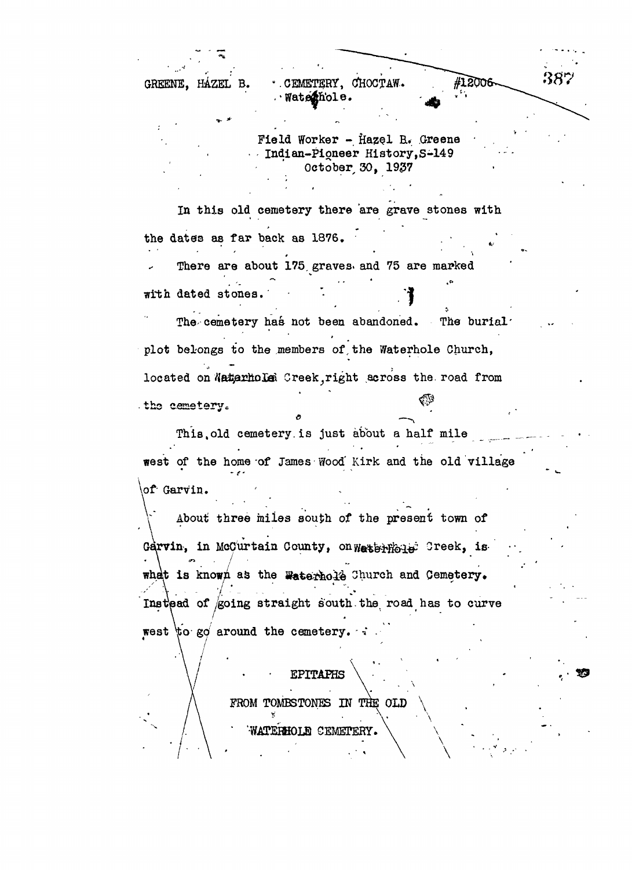GREENE. HÁZEL B. · CEMETERY, CHOCTAW. .'Watejn'ole.

> Field Worker - Hazel B. Greene Indian-Pioneer History,S-149 October, 30, 1937

In this old cemetery there are grave stones with the dates as far back as 1876. ' . \* •' There are about 175 graves, and 75 are marked  $\mathcal{C}$  and  $\mathcal{C}$  are expressed by the set of  $\mathcal{C}$  . The set of  $\mathcal{C}$ with dated stones.

The cemetery has not been abandoned. The burial plot belongs to the members of,the Waterhole Church, located on Natarholai Creek, right across the road from . the cemetery.

This, old cemetery is just about a half mile west of the home of James Wood' Kirk and the old village \of- Garvin. *- e-*

About three miles south of the present town of Garvin, in McCurtain County, on Water Hole Creek, iswhat is known as the Waterhold Church and Cemetery. Instead of *going* straight south the road has to curve west to go around the cemetery.  $\cdot$ 

 $\ddot{\phantom{1}}$ 

EPITAPHS FROM TOMBSTONES IN THE OLD  $\setminus$ WATERHOLE CEMETERY.

#12006

38'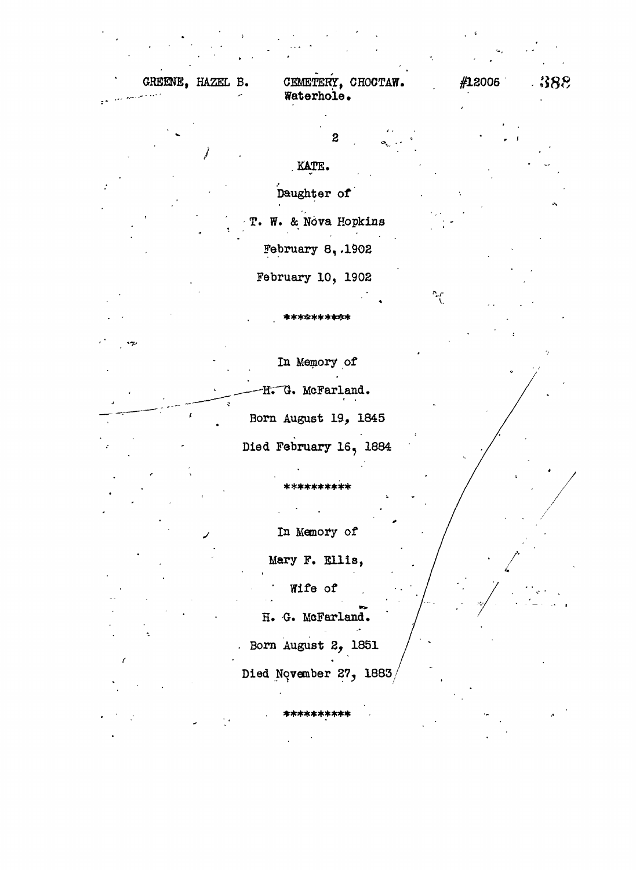**GREENE, HAZEL B. CEMETERY, CHOCTAW. Watorhole .**  $#12006$  .  $388$ 

 $\boldsymbol{2}$ 

.KATE.

Daughter of

T. W. & Nova Hopkins February 8, .1902

February 10, 1902

\*\*\*£\*\*\*\*\*\*

A

 $\sim$ f

In Memory of H. G. McFarland. Born August 19, 1845 Died February 16, 1884

> In Memory of Mary F. Ellis, Wife of

\*\***\*\*\*\*\*\*\***\*

H. G. McFarland.

. Born August Z, 1851

Died November 27, 1883

\*\*\*\*\*\*\*\*\*\*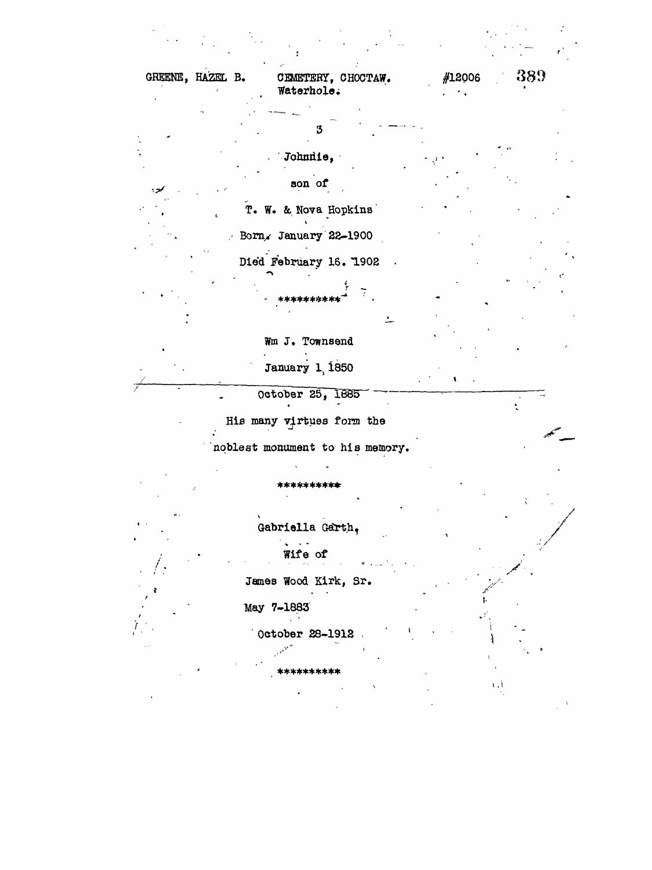GREENE, HAZEL B. #12006 389 CEMETERY, CHOCTAW. Waterhole.  $\ddot{\phantom{0}}$ 3 Johnnie, son of T. W. & Nova Hopkins Born, January 22-1900 Died February 16. 1902  $\ddot{\phantom{0}}$ Wm J. Townsend January 1, 1850 October 25, 1885 His many virtues form the noblest monument to his memory. \*\*\*\*\*\*\*\* Gabriella Garth,  $\mathbf{r}$ Wife of James Wood Kirk, Sr. May 7-1883 October 28-1912 \*\*\*\*\*\*\*\*\*\*  $\mathbf{L}$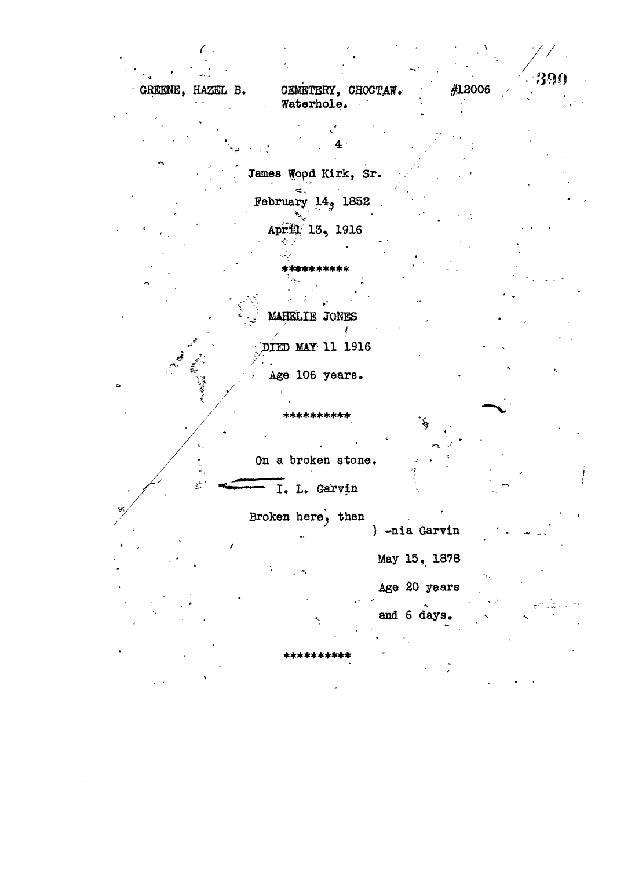| -390<br>#12006<br>CEMETERY, CHOCTAW.<br>GREENE, HAZEL B.<br>Waterhole.<br>James Wood Kirk, Sr.<br>February $149$ 1852<br>April 13, 1916<br><b>*********</b> *<br>MAHELIE JONES<br>DIED MAY 11 1916<br>Age 106 years.<br>**********<br>On a broken stone.<br>بمنتبه<br>I. L. Garvin<br>Broken here, then<br>) -nia Garvin<br>May 15, 1878<br>$\mathcal{D}_\mathbf{q}$<br>Age 20 years<br>and 6 days. |  |  |  |  |
|-----------------------------------------------------------------------------------------------------------------------------------------------------------------------------------------------------------------------------------------------------------------------------------------------------------------------------------------------------------------------------------------------------|--|--|--|--|
|                                                                                                                                                                                                                                                                                                                                                                                                     |  |  |  |  |
|                                                                                                                                                                                                                                                                                                                                                                                                     |  |  |  |  |
|                                                                                                                                                                                                                                                                                                                                                                                                     |  |  |  |  |
|                                                                                                                                                                                                                                                                                                                                                                                                     |  |  |  |  |
|                                                                                                                                                                                                                                                                                                                                                                                                     |  |  |  |  |
|                                                                                                                                                                                                                                                                                                                                                                                                     |  |  |  |  |
|                                                                                                                                                                                                                                                                                                                                                                                                     |  |  |  |  |
|                                                                                                                                                                                                                                                                                                                                                                                                     |  |  |  |  |
|                                                                                                                                                                                                                                                                                                                                                                                                     |  |  |  |  |
|                                                                                                                                                                                                                                                                                                                                                                                                     |  |  |  |  |
|                                                                                                                                                                                                                                                                                                                                                                                                     |  |  |  |  |
|                                                                                                                                                                                                                                                                                                                                                                                                     |  |  |  |  |
|                                                                                                                                                                                                                                                                                                                                                                                                     |  |  |  |  |
|                                                                                                                                                                                                                                                                                                                                                                                                     |  |  |  |  |
|                                                                                                                                                                                                                                                                                                                                                                                                     |  |  |  |  |
|                                                                                                                                                                                                                                                                                                                                                                                                     |  |  |  |  |
|                                                                                                                                                                                                                                                                                                                                                                                                     |  |  |  |  |
|                                                                                                                                                                                                                                                                                                                                                                                                     |  |  |  |  |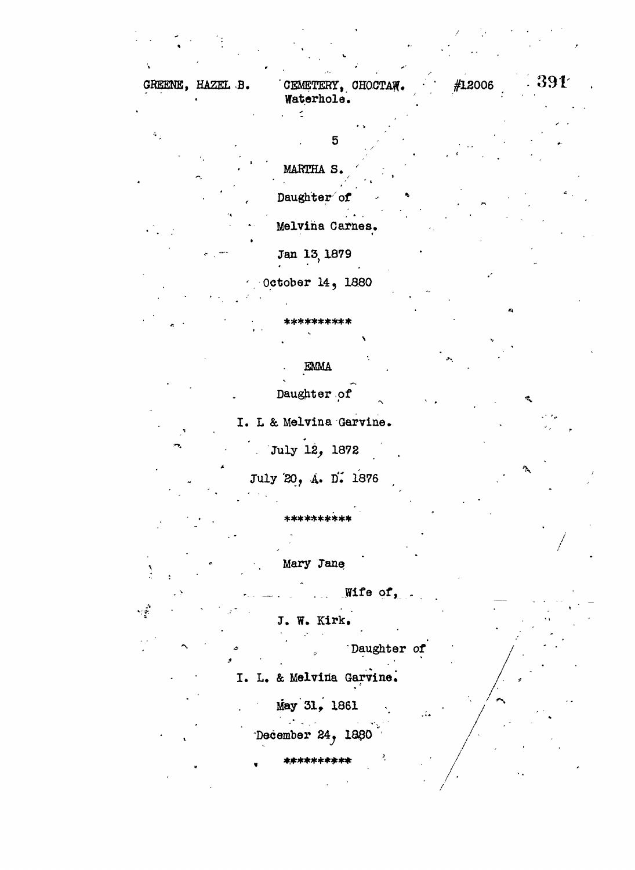GREENE, HAZEL B. CEMETERY, CHOCTAW. #12006 · 391 Waterhole .  $\overline{\mathbb{R}}$  $\mathcal{L}_{\mathbf{r}}$ 5 MARTHA S. Daughter of Melvina Carnes. Jan 13, 1879 October 14, 1880 \*\*\*\*\*\*\*\*\*\* **EMMA** Daughter of I. L & Melvina Garvine. ' . July 12, 1872 July 20, A. D. 1876 \*\*\*\*\*\*\*\*\*\* Mary Jane Wife of, A J. W. Kirk, Daughter of I. L. & Melvina Garvine.

May 31, 1861 December 24, 1880

\*\*\*\*\*\*\*\*\*\* \*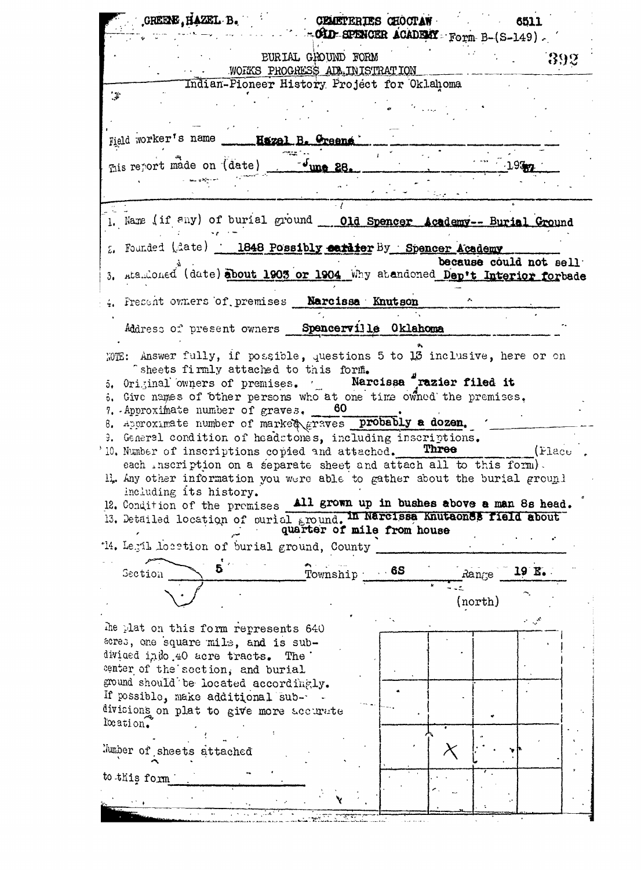| CREENE, HAZEL B. CEMETERIES CHOCTAN                                                                                                                                                                                                                                                                                                                                                                                                                                                                                                                                                                                                                                                                                                                                                                                                                                            | COLLECTIVE SPENCER ACADEMY Form B-(S-149). |            |                         | 6511       |         |
|--------------------------------------------------------------------------------------------------------------------------------------------------------------------------------------------------------------------------------------------------------------------------------------------------------------------------------------------------------------------------------------------------------------------------------------------------------------------------------------------------------------------------------------------------------------------------------------------------------------------------------------------------------------------------------------------------------------------------------------------------------------------------------------------------------------------------------------------------------------------------------|--------------------------------------------|------------|-------------------------|------------|---------|
|                                                                                                                                                                                                                                                                                                                                                                                                                                                                                                                                                                                                                                                                                                                                                                                                                                                                                | <b>EURIAL GROUND FORM</b>                  |            |                         |            |         |
|                                                                                                                                                                                                                                                                                                                                                                                                                                                                                                                                                                                                                                                                                                                                                                                                                                                                                | WORKS PROGRESS ADM. IN ISTRATION           |            |                         |            | -392    |
| Indian-Pioneer History Project for Oklahoma                                                                                                                                                                                                                                                                                                                                                                                                                                                                                                                                                                                                                                                                                                                                                                                                                                    |                                            |            |                         |            |         |
| $\mathcal{A}^{\mathcal{C}}$                                                                                                                                                                                                                                                                                                                                                                                                                                                                                                                                                                                                                                                                                                                                                                                                                                                    |                                            |            |                         |            |         |
|                                                                                                                                                                                                                                                                                                                                                                                                                                                                                                                                                                                                                                                                                                                                                                                                                                                                                |                                            |            |                         |            |         |
| Field worker's name ____ Hazel B. Greena __                                                                                                                                                                                                                                                                                                                                                                                                                                                                                                                                                                                                                                                                                                                                                                                                                                    |                                            |            |                         |            |         |
|                                                                                                                                                                                                                                                                                                                                                                                                                                                                                                                                                                                                                                                                                                                                                                                                                                                                                |                                            |            |                         |            |         |
| This report made on (date) - - June 28.                                                                                                                                                                                                                                                                                                                                                                                                                                                                                                                                                                                                                                                                                                                                                                                                                                        |                                            |            |                         | 1.937      |         |
|                                                                                                                                                                                                                                                                                                                                                                                                                                                                                                                                                                                                                                                                                                                                                                                                                                                                                |                                            |            |                         |            |         |
| 1. Name (if any) of burial ground ___ 01d Spencer Academy-- Burial Ground                                                                                                                                                                                                                                                                                                                                                                                                                                                                                                                                                                                                                                                                                                                                                                                                      |                                            |            |                         |            |         |
| . Founded (date) 1848 Possibly earlier By Spencer Academy                                                                                                                                                                                                                                                                                                                                                                                                                                                                                                                                                                                                                                                                                                                                                                                                                      |                                            |            |                         |            |         |
|                                                                                                                                                                                                                                                                                                                                                                                                                                                                                                                                                                                                                                                                                                                                                                                                                                                                                |                                            |            | because could not sell  |            |         |
| 3. Rta. Loned (date) about 1903 or 1904 Why at andoned Dep't Interior forbade                                                                                                                                                                                                                                                                                                                                                                                                                                                                                                                                                                                                                                                                                                                                                                                                  |                                            |            |                         |            |         |
| 4. Present owners of premises Narcissa Knutson                                                                                                                                                                                                                                                                                                                                                                                                                                                                                                                                                                                                                                                                                                                                                                                                                                 |                                            |            |                         |            |         |
| Address of present owners Spencerville Oklahoma                                                                                                                                                                                                                                                                                                                                                                                                                                                                                                                                                                                                                                                                                                                                                                                                                                |                                            |            |                         |            |         |
| WHE: Answer fully, if possible, questions 5 to 13 inclusive, here or on<br>" sheets firmly attached to this form.<br>5. Original owners of premises. ( Narcissa Trazier filed it<br>3. Give names of other persons who at one time owned the premises,<br>7. Approximate number of graves. $60$<br>8. Approximate number of market eraves probably a dozen.<br>3. General condition of headstones, including inseriptions.<br>10. Number of inscriptions copied and attached.<br>each inscription on a separate sheet and attach all to this form).<br>H. Any other information you were able to gather about the burial ground<br>including its history.<br>12. Condition of the premises All grown up in bushes above a man 8s head.<br>13. Detailed location of purial spound. In Narcissa Knutaones field about<br>'14. Legil location of burial ground, County<br>Section | quarter of mile from house<br>Township     | $\cdot$ 6S | Three<br>$\text{Range}$ | 19 E.      | (Flace) |
|                                                                                                                                                                                                                                                                                                                                                                                                                                                                                                                                                                                                                                                                                                                                                                                                                                                                                |                                            |            |                         |            |         |
|                                                                                                                                                                                                                                                                                                                                                                                                                                                                                                                                                                                                                                                                                                                                                                                                                                                                                |                                            |            | (north)                 |            |         |
| the plat on this form represents 640<br>acres, one square mile, and is sub-<br>divided indo 40 acre tracts. The<br>center of the section, and burial<br>ground should be located accordingly.                                                                                                                                                                                                                                                                                                                                                                                                                                                                                                                                                                                                                                                                                  |                                            |            |                         | مجموع المر |         |
| If possible, make additional sub-<br>divisions on plat to give more accurate                                                                                                                                                                                                                                                                                                                                                                                                                                                                                                                                                                                                                                                                                                                                                                                                   |                                            |            |                         |            |         |
| location.                                                                                                                                                                                                                                                                                                                                                                                                                                                                                                                                                                                                                                                                                                                                                                                                                                                                      |                                            |            |                         |            |         |
| Number of sheets attached                                                                                                                                                                                                                                                                                                                                                                                                                                                                                                                                                                                                                                                                                                                                                                                                                                                      |                                            |            |                         |            |         |
|                                                                                                                                                                                                                                                                                                                                                                                                                                                                                                                                                                                                                                                                                                                                                                                                                                                                                |                                            |            |                         |            |         |
| to this form                                                                                                                                                                                                                                                                                                                                                                                                                                                                                                                                                                                                                                                                                                                                                                                                                                                                   |                                            |            |                         |            |         |
|                                                                                                                                                                                                                                                                                                                                                                                                                                                                                                                                                                                                                                                                                                                                                                                                                                                                                |                                            |            |                         |            |         |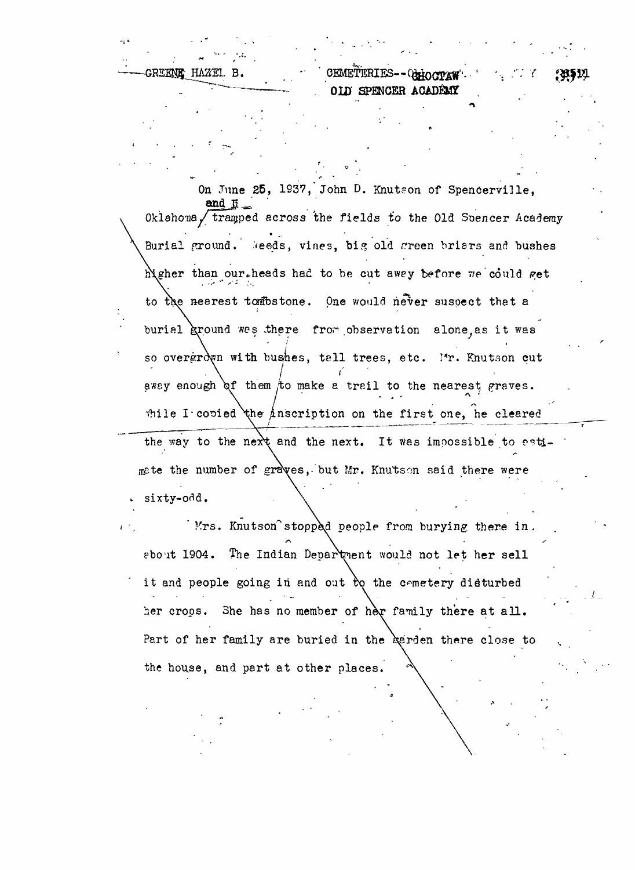GREENE HAZEL B. CEMETERIES-- CHOCTAW. *QW* SPENCER **ACADEMT**

*•r*

On June 25, 1937, John D. Knutson of Spencerville, Oklahoma *J* trapped across 'the fields to the Old Suencer Academy Burial ground. Meeds, vines, big old green briars and bushes higher than our heads had to be cut awey before we could get to the nearest tombstone. One would never suspect that a burial ground was there from observation alone as it was so overgrown with bushes, tell trees, etc. I'r. Knutson cut away enough of them to make a trail to the nearest graves. **\ / - - • A •**  file I covied the anscription on the first one, he cleared the way to the next and the next. It was impossible to eatimate the number of graves, but Mr. Knutson said there were sixty-odd.

Mrs. Knutson stopped people from burying there in . sbout 1904. The Indian Department would not let her sell it and people going in and out to the cemetery disturbed her crops. She has no member of her family there at all. Part of her family are buried in the *edrican* there close to the house, and part at other places.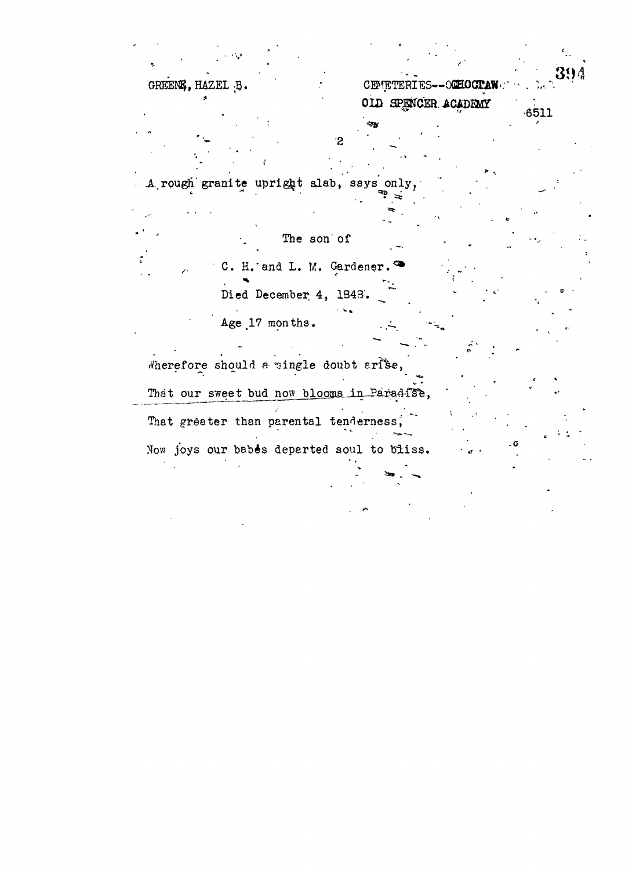CEMETERIES--OGHOCPAW OLD SPENCER ACADEMY

 $-6511$ 

 $\cdot$ 2 A rough granite upright slab, says onl

The son of C. H. and L. M. Gardener. Died December 4, 1848. Age 17 months.

GREENS, HAZEL B.

Wherefore should a single doubt arise, That our sweet bud now blooms in Paradise, That greater than parental tenderness, Now joys our babes departed soul to bliss.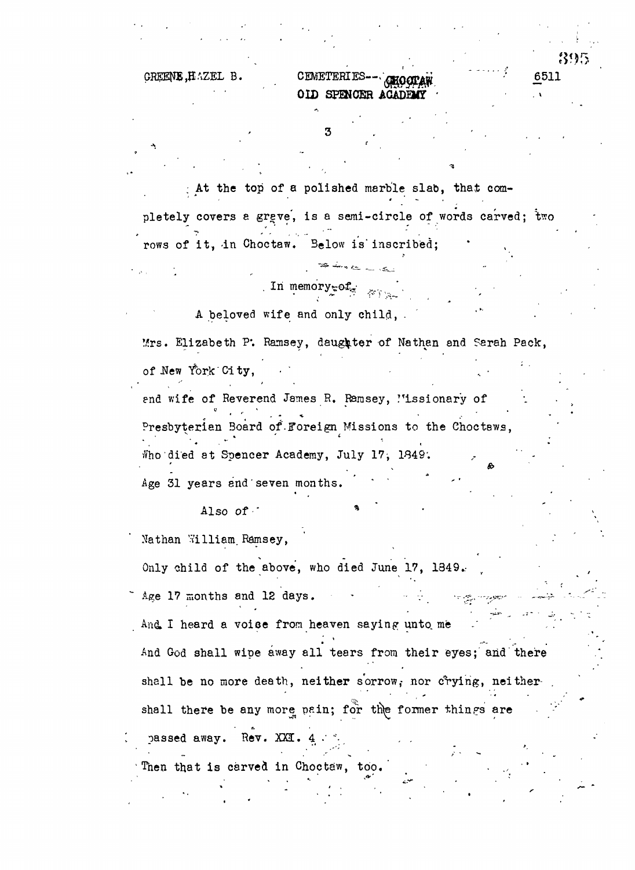| в. | CEMETERIES-- GHOCTAN | . | 6511 |
|----|----------------------|---|------|
|    | OID SPENCER ACADEMY  |   |      |

3

39

. At the top of a polished marble slab, that completely covers a grave, is a semi-circle of words carved;  $\mathbf{\hat{t}}$ wo

rows of it, in Choctaw. Below is inscribed;

. In memory $\sub{cf}_{\alpha}$ 

A beloved wife and only child, .

Mrs. Elizabeth ?'. Ramsey, daughter of Nathan and Sarah Pack,

of New York City,

end wife of Reverend James R. Ramsey, 'issionary of Presbyterian Board of Foreign Missions to the Choctaws, Who died at Spencer Academy, July 17, 1849;

Age 31 years and seven months.

Also *of •*

Nathan William Ramsey,

Only child of the above, who died June 17, 1849.

 *%*

Age 17 months and 12 days.

And I heard a voise from heaven saying unto me

And God shall wipe away all tears from their eyes; and there shall be no more death, neither sorrow, nor crying, neither-

shall there be any more pain; for the former things are

passed away. Rev. XXI.  $4 \cdot$ 

Then that is carved in Choctaw, too.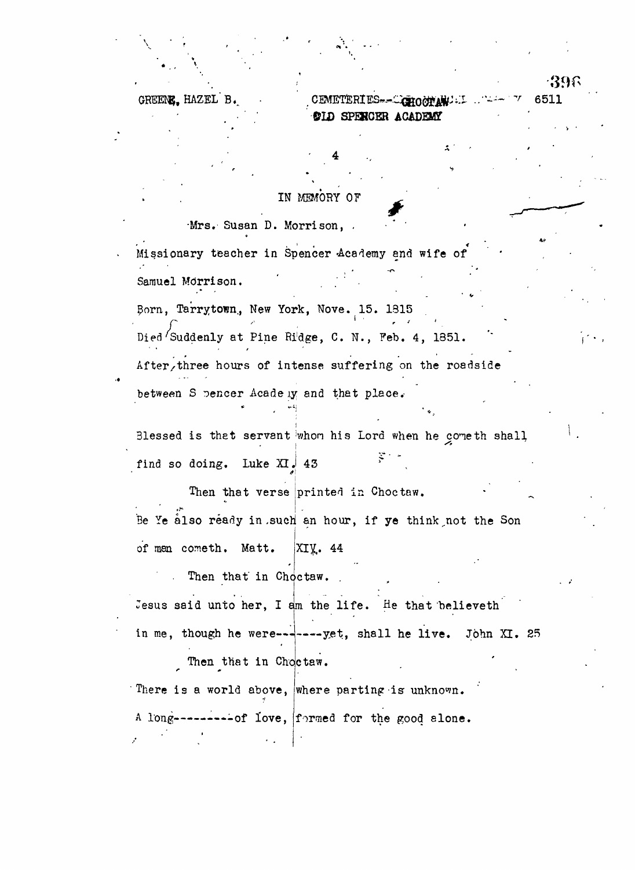GREENE. HAZEL B.

CEMETERI **©LD SPEHCER ACADEMT** 6511

-396

## IN MEMORY OF

# Mrs. Susan D. Morrison, Missionary teacher in Spencer Academy and wife of Samuel Morrison . . Born, Tarrytown, New York, Nove. 15. 1815 Died Suddenly at Pine Ridge, C. N., Feb. 4, 1851. After, three hours of intense suffering on the roadside between S pencer Acade iy and that place. Blessed is that servant whom his Lord when he cometh shall **i -^** find so doing. Luke  $XI$ , 43 Then that verse printed in Choctaw. Be Ye also ready in such an hour, if ye think not the Son of man cometh. Matt. XIX. 44 Then that in Choctaw. Jesus said unto her, I am the life. He that believeth in me, though he were-------yet, shall he live. John XI. 25 Then that in Choctaw. There is a world above, where parting is unknown. A long---------of love, formed for the good alone.